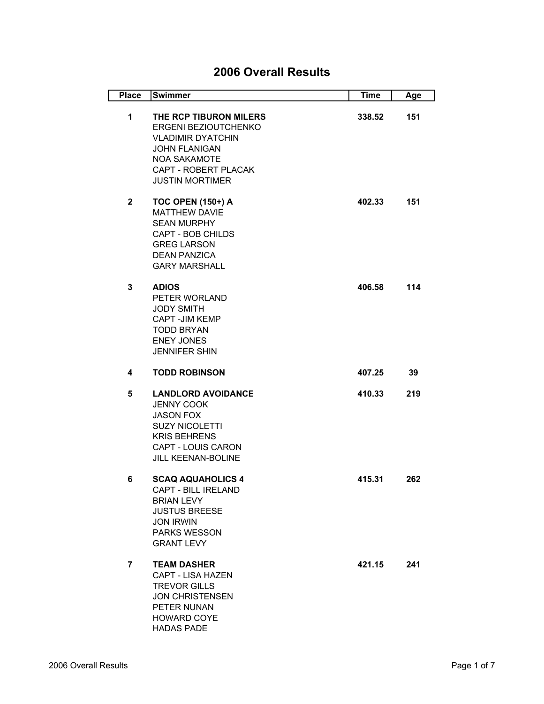## **2006 Overall Results**

| <b>Place</b>   | <b>Swimmer</b>                                                                                                                                                               | <b>Time</b> | Age |
|----------------|------------------------------------------------------------------------------------------------------------------------------------------------------------------------------|-------------|-----|
| $\mathbf 1$    | THE RCP TIBURON MILERS<br>ERGENI BEZIOUTCHENKO<br><b>VLADIMIR DYATCHIN</b><br><b>JOHN FLANIGAN</b><br><b>NOA SAKAMOTE</b><br>CAPT - ROBERT PLACAK<br><b>JUSTIN MORTIMER</b>  | 338.52      | 151 |
| $\mathbf{2}$   | <b>TOC OPEN (150+) A</b><br><b>MATTHEW DAVIE</b><br><b>SEAN MURPHY</b><br><b>CAPT - BOB CHILDS</b><br><b>GREG LARSON</b><br><b>DEAN PANZICA</b><br><b>GARY MARSHALL</b>      | 402.33      | 151 |
| 3              | <b>ADIOS</b><br>PETER WORLAND<br><b>JODY SMITH</b><br>CAPT - JIM KEMP<br><b>TODD BRYAN</b><br><b>ENEY JONES</b><br><b>JENNIFER SHIN</b>                                      | 406.58      | 114 |
| 4              | <b>TODD ROBINSON</b>                                                                                                                                                         | 407.25      | 39  |
| 5              | <b>LANDLORD AVOIDANCE</b><br><b>JENNY COOK</b><br><b>JASON FOX</b><br><b>SUZY NICOLETTI</b><br><b>KRIS BEHRENS</b><br><b>CAPT - LOUIS CARON</b><br><b>JILL KEENAN-BOLINE</b> | 410.33      | 219 |
| 6              | <b>SCAQ AQUAHOLICS 4</b><br><b>CAPT - BILL IRELAND</b><br><b>BRIAN LEVY</b><br><b>JUSTUS BREESE</b><br><b>JON IRWIN</b><br><b>PARKS WESSON</b><br><b>GRANT LEVY</b>          | 415.31      | 262 |
| $\overline{7}$ | <b>TEAM DASHER</b><br><b>CAPT - LISA HAZEN</b><br><b>TREVOR GILLS</b><br><b>JON CHRISTENSEN</b><br>PETER NUNAN<br><b>HOWARD COYE</b><br><b>HADAS PADE</b>                    | 421.15      | 241 |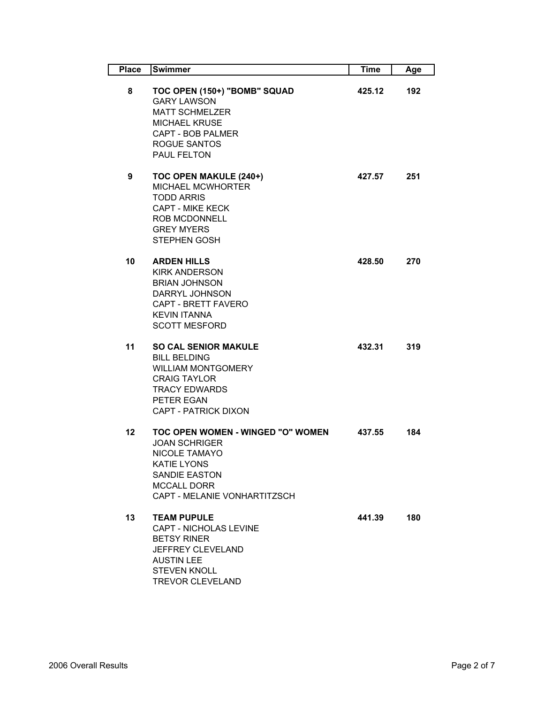| <b>Place</b>    | <b>Swimmer</b>                                                                                                                                                                        | <b>Time</b> | Age |
|-----------------|---------------------------------------------------------------------------------------------------------------------------------------------------------------------------------------|-------------|-----|
| 8               | TOC OPEN (150+) "BOMB" SQUAD<br><b>GARY LAWSON</b><br><b>MATT SCHMELZER</b><br><b>MICHAEL KRUSE</b><br><b>CAPT - BOB PALMER</b><br>ROGUE SANTOS<br>PAUL FELTON                        | 425.12      | 192 |
| 9               | TOC OPEN MAKULE (240+)<br><b>MICHAEL MCWHORTER</b><br><b>TODD ARRIS</b><br><b>CAPT - MIKE KECK</b><br><b>ROB MCDONNELL</b><br><b>GREY MYERS</b><br><b>STEPHEN GOSH</b>                | 427.57      | 251 |
| 10              | <b>ARDEN HILLS</b><br><b>KIRK ANDERSON</b><br><b>BRIAN JOHNSON</b><br>DARRYL JOHNSON<br><b>CAPT - BRETT FAVERO</b><br><b>KEVIN ITANNA</b><br><b>SCOTT MESFORD</b>                     | 428.50      | 270 |
| 11              | <b>SO CAL SENIOR MAKULE</b><br><b>BILL BELDING</b><br><b>WILLIAM MONTGOMERY</b><br><b>CRAIG TAYLOR</b><br><b>TRACY EDWARDS</b><br>PETER EGAN<br><b>CAPT - PATRICK DIXON</b>           | 432.31      | 319 |
| 12 <sub>2</sub> | TOC OPEN WOMEN - WINGED "O" WOMEN<br><b>JOAN SCHRIGER</b><br><b>NICOLE TAMAYO</b><br><b>KATIE LYONS</b><br><b>SANDIE EASTON</b><br><b>MCCALL DORR</b><br>CAPT - MELANIE VONHARTITZSCH | 437.55      | 184 |
| 13              | <b>TEAM PUPULE</b><br><b>CAPT - NICHOLAS LEVINE</b><br><b>BETSY RINER</b><br>JEFFREY CLEVELAND<br><b>AUSTIN LEE</b><br><b>STEVEN KNOLL</b><br><b>TREVOR CLEVELAND</b>                 | 441.39      | 180 |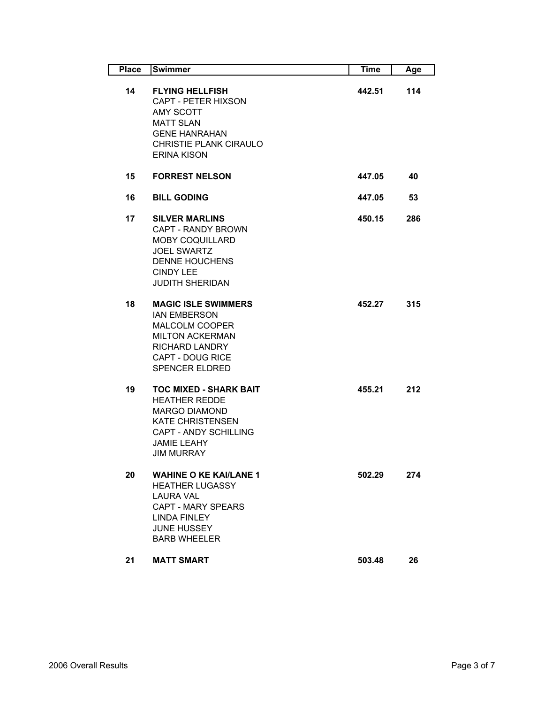| <b>Place</b> | Swimmer                                                                                                                                                                             | Time   | Age |
|--------------|-------------------------------------------------------------------------------------------------------------------------------------------------------------------------------------|--------|-----|
| 14           | <b>FLYING HELLFISH</b><br>CAPT - PETER HIXSON<br>AMY SCOTT<br><b>MATT SLAN</b><br><b>GENE HANRAHAN</b><br>CHRISTIE PLANK CIRAULO<br><b>ERINA KISON</b>                              | 442.51 | 114 |
| 15           | <b>FORREST NELSON</b>                                                                                                                                                               | 447.05 | 40  |
| 16           | <b>BILL GODING</b>                                                                                                                                                                  | 447.05 | 53  |
| 17           | <b>SILVER MARLINS</b><br>CAPT - RANDY BROWN<br><b>MOBY COQUILLARD</b><br><b>JOEL SWARTZ</b><br><b>DENNE HOUCHENS</b><br><b>CINDY LEE</b><br><b>JUDITH SHERIDAN</b>                  | 450.15 | 286 |
| 18           | <b>MAGIC ISLE SWIMMERS</b><br><b>IAN EMBERSON</b><br><b>MALCOLM COOPER</b><br><b>MILTON ACKERMAN</b><br><b>RICHARD LANDRY</b><br><b>CAPT - DOUG RICE</b><br><b>SPENCER ELDRED</b>   | 452.27 | 315 |
| 19           | <b>TOC MIXED - SHARK BAIT</b><br><b>HEATHER REDDE</b><br><b>MARGO DIAMOND</b><br><b>KATE CHRISTENSEN</b><br><b>CAPT - ANDY SCHILLING</b><br><b>JAMIE LEAHY</b><br><b>JIM MURRAY</b> | 455.21 | 212 |
| 20           | <b>WAHINE O KE KAI/LANE 1</b><br><b>HEATHER LUGASSY</b><br>I AURA VAI<br><b>CAPT - MARY SPEARS</b><br><b>LINDA FINLEY</b><br><b>JUNE HUSSEY</b><br><b>BARB WHEELER</b>              | 502.29 | 274 |
| 21           | <b>MATT SMART</b>                                                                                                                                                                   | 503.48 | 26  |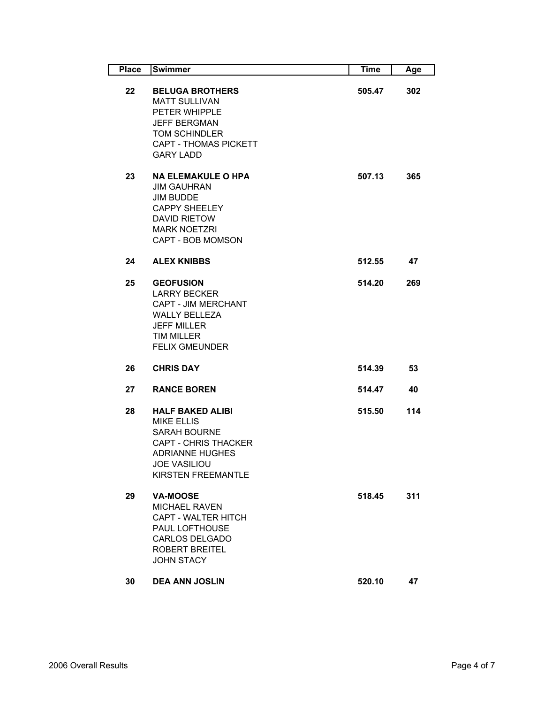| <b>Place</b> | Swimmer                                                                                                                                                                          | <b>Time</b> | Age |
|--------------|----------------------------------------------------------------------------------------------------------------------------------------------------------------------------------|-------------|-----|
| 22           | <b>BELUGA BROTHERS</b><br><b>MATT SULLIVAN</b><br>PETER WHIPPLE<br><b>JEFF BERGMAN</b><br><b>TOM SCHINDLER</b><br><b>CAPT - THOMAS PICKETT</b><br><b>GARY LADD</b>               | 505.47      | 302 |
| 23           | <b>NA ELEMAKULE O HPA</b><br><b>JIM GAUHRAN</b><br><b>JIM BUDDE</b><br><b>CAPPY SHEELEY</b><br><b>DAVID RIETOW</b><br><b>MARK NOETZRI</b><br><b>CAPT - BOB MOMSON</b>            | 507.13      | 365 |
| 24           | <b>ALEX KNIBBS</b>                                                                                                                                                               | 512.55      | 47  |
| 25           | <b>GEOFUSION</b><br><b>LARRY BECKER</b><br><b>CAPT - JIM MERCHANT</b><br><b>WALLY BELLEZA</b><br><b>JEFF MILLER</b><br><b>TIM MILLER</b><br><b>FELIX GMEUNDER</b>                | 514.20      | 269 |
| 26           | <b>CHRIS DAY</b>                                                                                                                                                                 | 514.39      | 53  |
| 27           | <b>RANCE BOREN</b>                                                                                                                                                               | 514.47      | 40  |
| 28           | <b>HALF BAKED ALIBI</b><br><b>MIKE ELLIS</b><br><b>SARAH BOURNE</b><br><b>CAPT - CHRIS THACKER</b><br><b>ADRIANNE HUGHES</b><br><b>JOE VASILIOU</b><br><b>KIRSTEN FREEMANTLE</b> | 515.50      | 114 |
| 29           | <b>VA-MOOSE</b><br><b>MICHAEL RAVEN</b><br><b>CAPT - WALTER HITCH</b><br><b>PAUL LOFTHOUSE</b><br><b>CARLOS DELGADO</b><br><b>ROBERT BREITEL</b><br><b>JOHN STACY</b>            | 518.45      | 311 |
| 30           | <b>DEA ANN JOSLIN</b>                                                                                                                                                            | 520.10      | 47  |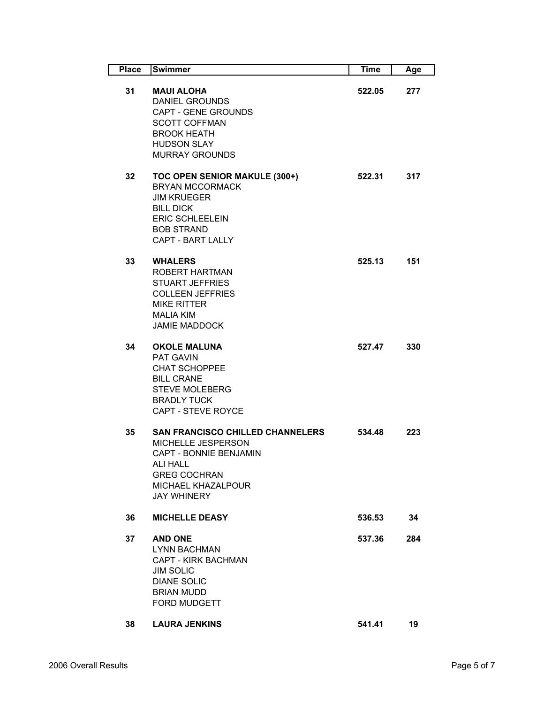| <b>Place</b> | Swimmer                                                                                                                                                                              | <b>Time</b> | Age |
|--------------|--------------------------------------------------------------------------------------------------------------------------------------------------------------------------------------|-------------|-----|
| 31           | <b>MAUI ALOHA</b><br><b>DANIEL GROUNDS</b><br><b>CAPT - GENE GROUNDS</b><br><b>SCOTT COFFMAN</b><br><b>BROOK HEATH</b><br><b>HUDSON SLAY</b><br><b>MURRAY GROUNDS</b>                | 522.05      | 277 |
| 32           | TOC OPEN SENIOR MAKULE (300+)<br><b>BRYAN MCCORMACK</b><br><b>JIM KRUEGER</b><br><b>BILL DICK</b><br><b>ERIC SCHLEELEIN</b><br><b>BOB STRAND</b><br><b>CAPT - BART LALLY</b>         | 522.31      | 317 |
| 33           | <b>WHALERS</b><br>ROBERT HARTMAN<br><b>STUART JEFFRIES</b><br><b>COLLEEN JEFFRIES</b><br><b>MIKE RITTER</b><br><b>MALIA KIM</b><br><b>JAMIE MADDOCK</b>                              | 525.13      | 151 |
| 34           | <b>OKOLE MALUNA</b><br><b>PAT GAVIN</b><br><b>CHAT SCHOPPEE</b><br><b>BILL CRANE</b><br><b>STEVE MOLEBERG</b><br><b>BRADLY TUCK</b><br><b>CAPT - STEVE ROYCE</b>                     | 527.47      | 330 |
| 35           | <b>SAN FRANCISCO CHILLED CHANNELERS</b><br>MICHELLE JESPERSON<br><b>CAPT - BONNIE BENJAMIN</b><br><b>ALI HALL</b><br><b>GREG COCHRAN</b><br>MICHAEL KHAZALPOUR<br><b>JAY WHINERY</b> | 534.48      | 223 |
| 36           | <b>MICHELLE DEASY</b>                                                                                                                                                                | 536.53      | 34  |
| 37           | <b>AND ONE</b><br><b>LYNN BACHMAN</b><br><b>CAPT - KIRK BACHMAN</b><br><b>JIM SOLIC</b><br><b>DIANE SOLIC</b><br><b>BRIAN MUDD</b><br>FORD MUDGETT                                   | 537.36      | 284 |
| 38           | <b>LAURA JENKINS</b>                                                                                                                                                                 | 541.41      | 19  |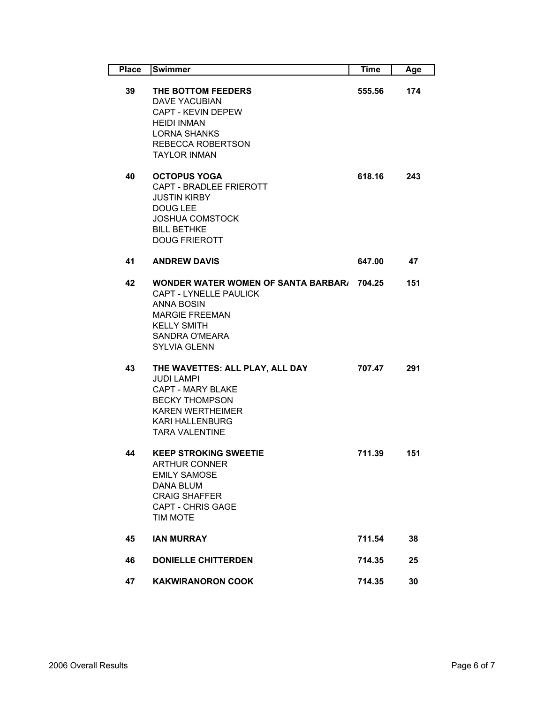| <b>Place</b> | Swimmer                                                                                                                                                                                  | <b>Time</b> | Age |
|--------------|------------------------------------------------------------------------------------------------------------------------------------------------------------------------------------------|-------------|-----|
| 39           | THE BOTTOM FEEDERS<br><b>DAVE YACUBIAN</b><br><b>CAPT - KEVIN DEPEW</b><br><b>HEIDI INMAN</b><br><b>LORNA SHANKS</b><br>REBECCA ROBERTSON<br><b>TAYLOR INMAN</b>                         | 555.56      | 174 |
| 40           | <b>OCTOPUS YOGA</b><br>CAPT - BRADLEE FRIEROTT<br><b>JUSTIN KIRBY</b><br><b>DOUG LEE</b><br><b>JOSHUA COMSTOCK</b><br><b>BILL BETHKE</b><br><b>DOUG FRIEROTT</b>                         | 618.16      | 243 |
| 41           | <b>ANDREW DAVIS</b>                                                                                                                                                                      | 647.00      | 47  |
| 42           | <b>WONDER WATER WOMEN OF SANTA BARBAR/ 704.25</b><br>CAPT - LYNELLE PAULICK<br><b>ANNA BOSIN</b><br><b>MARGIE FREEMAN</b><br><b>KELLY SMITH</b><br>SANDRA O'MEARA<br><b>SYLVIA GLENN</b> |             | 151 |
| 43           | THE WAVETTES: ALL PLAY, ALL DAY<br><b>JUDI LAMPI</b><br><b>CAPT - MARY BLAKE</b><br><b>BECKY THOMPSON</b><br><b>KAREN WERTHEIMER</b><br><b>KARI HALLENBURG</b><br><b>TARA VALENTINE</b>  | 707.47      | 291 |
| 44           | <b>KEEP STROKING SWEETIE</b><br><b>ARTHUR CONNER</b><br><b>EMILY SAMOSE</b><br>DANA BLUM<br><b>CRAIG SHAFFER</b><br><b>CAPT - CHRIS GAGE</b><br><b>TIM MOTE</b>                          | 711.39      | 151 |
| 45           | <b>IAN MURRAY</b>                                                                                                                                                                        | 711.54      | 38  |
| 46           | <b>DONIELLE CHITTERDEN</b>                                                                                                                                                               | 714.35      | 25  |
| 47           | <b>KAKWIRANORON COOK</b>                                                                                                                                                                 | 714.35      | 30  |